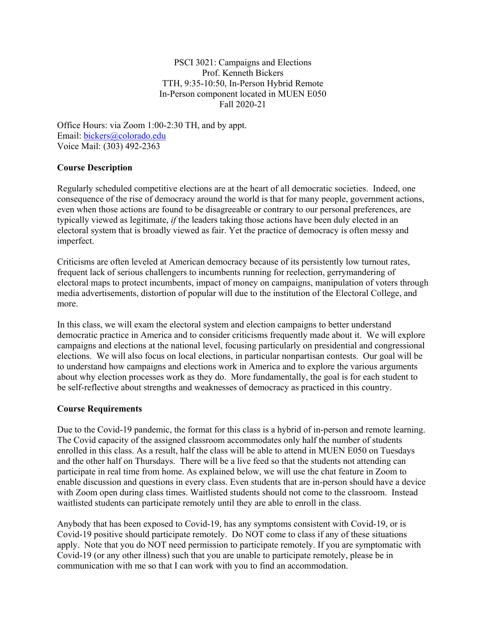PSCI 3021: Campaigns and Elections Prof. Kenneth Bickers TTH, 9:35-10:50, In-Person Hybrid Remote In-Person component located in MUEN E050 Fall 2020-21

Office Hours: via Zoom 1:00-2:30 TH, and by appt. Email: bickers@colorado.edu Voice Mail: (303) 492-2363

## **Course Description**

Regularly scheduled competitive elections are at the heart of all democratic societies. Indeed, one consequence of the rise of democracy around the world is that for many people, government actions, even when those actions are found to be disagreeable or contrary to our personal preferences, are typically viewed as legitimate, *if* the leaders taking those actions have been duly elected in an electoral system that is broadly viewed as fair. Yet the practice of democracy is often messy and imperfect.

Criticisms are often leveled at American democracy because of its persistently low turnout rates, frequent lack of serious challengers to incumbents running for reelection, gerrymandering of electoral maps to protect incumbents, impact of money on campaigns, manipulation of voters through media advertisements, distortion of popular will due to the institution of the Electoral College, and more.

In this class, we will exam the electoral system and election campaigns to better understand democratic practice in America and to consider criticisms frequently made about it. We will explore campaigns and elections at the national level, focusing particularly on presidential and congressional elections. We will also focus on local elections, in particular nonpartisan contests. Our goal will be to understand how campaigns and elections work in America and to explore the various arguments about why election processes work as they do. More fundamentally, the goal is for each student to be self-reflective about strengths and weaknesses of democracy as practiced in this country.

### **Course Requirements**

Due to the Covid-19 pandemic, the format for this class is a hybrid of in-person and remote learning. The Covid capacity of the assigned classroom accommodates only half the number of students enrolled in this class. As a result, half the class will be able to attend in MUEN E050 on Tuesdays and the other half on Thursdays. There will be a live feed so that the students not attending can participate in real time from home. As explained below, we will use the chat feature in Zoom to enable discussion and questions in every class. Even students that are in-person should have a device with Zoom open during class times. Waitlisted students should not come to the classroom. Instead waitlisted students can participate remotely until they are able to enroll in the class.

Anybody that has been exposed to Covid-19, has any symptoms consistent with Covid-19, or is Covid-19 positive should participate remotely. Do NOT come to class if any of these situations apply. Note that you do NOT need permission to participate remotely. If you are symptomatic with Covid-19 (or any other illness) such that you are unable to participate remotely, please be in communication with me so that I can work with you to find an accommodation.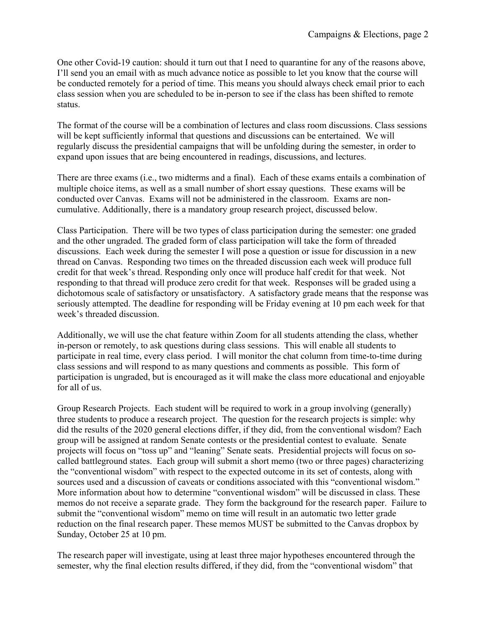One other Covid-19 caution: should it turn out that I need to quarantine for any of the reasons above, I'll send you an email with as much advance notice as possible to let you know that the course will be conducted remotely for a period of time. This means you should always check email prior to each class session when you are scheduled to be in-person to see if the class has been shifted to remote status.

The format of the course will be a combination of lectures and class room discussions. Class sessions will be kept sufficiently informal that questions and discussions can be entertained. We will regularly discuss the presidential campaigns that will be unfolding during the semester, in order to expand upon issues that are being encountered in readings, discussions, and lectures.

There are three exams (i.e., two midterms and a final). Each of these exams entails a combination of multiple choice items, as well as a small number of short essay questions. These exams will be conducted over Canvas. Exams will not be administered in the classroom. Exams are noncumulative. Additionally, there is a mandatory group research project, discussed below.

Class Participation. There will be two types of class participation during the semester: one graded and the other ungraded. The graded form of class participation will take the form of threaded discussions. Each week during the semester I will pose a question or issue for discussion in a new thread on Canvas. Responding two times on the threaded discussion each week will produce full credit for that week's thread. Responding only once will produce half credit for that week. Not responding to that thread will produce zero credit for that week. Responses will be graded using a dichotomous scale of satisfactory or unsatisfactory. A satisfactory grade means that the response was seriously attempted. The deadline for responding will be Friday evening at 10 pm each week for that week's threaded discussion.

Additionally, we will use the chat feature within Zoom for all students attending the class, whether in-person or remotely, to ask questions during class sessions. This will enable all students to participate in real time, every class period. I will monitor the chat column from time-to-time during class sessions and will respond to as many questions and comments as possible. This form of participation is ungraded, but is encouraged as it will make the class more educational and enjoyable for all of us.

Group Research Projects. Each student will be required to work in a group involving (generally) three students to produce a research project. The question for the research projects is simple: why did the results of the 2020 general elections differ, if they did, from the conventional wisdom? Each group will be assigned at random Senate contests or the presidential contest to evaluate. Senate projects will focus on "toss up" and "leaning" Senate seats. Presidential projects will focus on socalled battleground states. Each group will submit a short memo (two or three pages) characterizing the "conventional wisdom" with respect to the expected outcome in its set of contests, along with sources used and a discussion of caveats or conditions associated with this "conventional wisdom." More information about how to determine "conventional wisdom" will be discussed in class. These memos do not receive a separate grade. They form the background for the research paper. Failure to submit the "conventional wisdom" memo on time will result in an automatic two letter grade reduction on the final research paper. These memos MUST be submitted to the Canvas dropbox by Sunday, October 25 at 10 pm.

The research paper will investigate, using at least three major hypotheses encountered through the semester, why the final election results differed, if they did, from the "conventional wisdom" that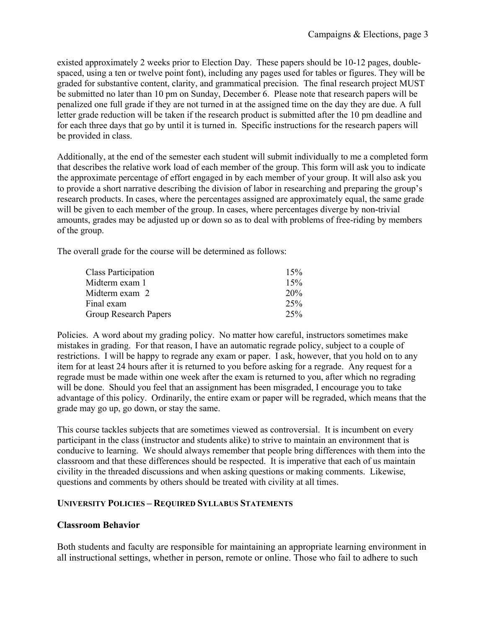existed approximately 2 weeks prior to Election Day. These papers should be 10-12 pages, doublespaced, using a ten or twelve point font), including any pages used for tables or figures. They will be graded for substantive content, clarity, and grammatical precision. The final research project MUST be submitted no later than 10 pm on Sunday, December 6. Please note that research papers will be penalized one full grade if they are not turned in at the assigned time on the day they are due. A full letter grade reduction will be taken if the research product is submitted after the 10 pm deadline and for each three days that go by until it is turned in. Specific instructions for the research papers will be provided in class.

Additionally, at the end of the semester each student will submit individually to me a completed form that describes the relative work load of each member of the group. This form will ask you to indicate the approximate percentage of effort engaged in by each member of your group. It will also ask you to provide a short narrative describing the division of labor in researching and preparing the group's research products. In cases, where the percentages assigned are approximately equal, the same grade will be given to each member of the group. In cases, where percentages diverge by non-trivial amounts, grades may be adjusted up or down so as to deal with problems of free-riding by members of the group.

The overall grade for the course will be determined as follows:

| Class Participation          | 15% |
|------------------------------|-----|
| Midterm exam 1               | 15% |
| Midterm exam 2               | 20% |
| Final exam                   | 25% |
| <b>Group Research Papers</b> | 25% |

Policies. A word about my grading policy. No matter how careful, instructors sometimes make mistakes in grading. For that reason, I have an automatic regrade policy, subject to a couple of restrictions. I will be happy to regrade any exam or paper. I ask, however, that you hold on to any item for at least 24 hours after it is returned to you before asking for a regrade. Any request for a regrade must be made within one week after the exam is returned to you, after which no regrading will be done. Should you feel that an assignment has been misgraded, I encourage you to take advantage of this policy. Ordinarily, the entire exam or paper will be regraded, which means that the grade may go up, go down, or stay the same.

This course tackles subjects that are sometimes viewed as controversial. It is incumbent on every participant in the class (instructor and students alike) to strive to maintain an environment that is conducive to learning. We should always remember that people bring differences with them into the classroom and that these differences should be respected. It is imperative that each of us maintain civility in the threaded discussions and when asking questions or making comments. Likewise, questions and comments by others should be treated with civility at all times.

### **UNIVERSITY POLICIES – REQUIRED SYLLABUS STATEMENTS**

### **Classroom Behavior**

Both students and faculty are responsible for maintaining an appropriate learning environment in all instructional settings, whether in person, remote or online. Those who fail to adhere to such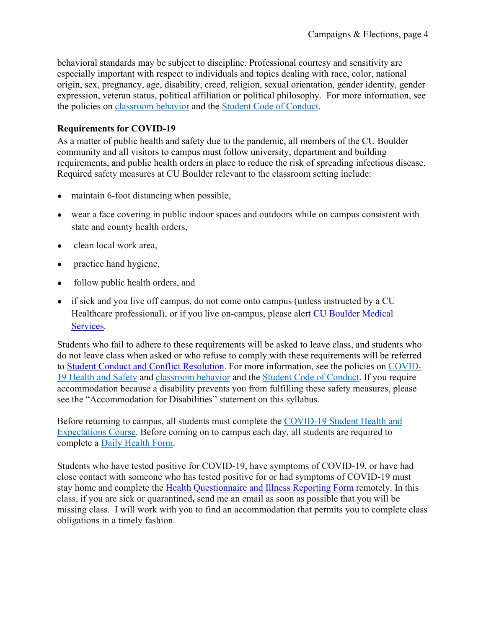behavioral standards may be subject to discipline. Professional courtesy and sensitivity are especially important with respect to individuals and topics dealing with race, color, national origin, sex, pregnancy, age, disability, creed, religion, sexual orientation, gender identity, gender expression, veteran status, political affiliation or political philosophy. For more information, see the policies on classroom behavior and the Student Code of Conduct.

# **Requirements for COVID-19**

As a matter of public health and safety due to the pandemic, all members of the CU Boulder community and all visitors to campus must follow university, department and building requirements, and public health orders in place to reduce the risk of spreading infectious disease. Required safety measures at CU Boulder relevant to the classroom setting include:

- maintain 6-foot distancing when possible,
- wear a face covering in public indoor spaces and outdoors while on campus consistent with state and county health orders,
- clean local work area,
- practice hand hygiene,
- follow public health orders, and
- if sick and you live off campus, do not come onto campus (unless instructed by a CU Healthcare professional), or if you live on-campus, please alert CU Boulder Medical Services.

Students who fail to adhere to these requirements will be asked to leave class, and students who do not leave class when asked or who refuse to comply with these requirements will be referred to Student Conduct and Conflict Resolution. For more information, see the policies on COVID-19 Health and Safety and classroom behavior and the Student Code of Conduct. If you require accommodation because a disability prevents you from fulfilling these safety measures, please see the "Accommodation for Disabilities" statement on this syllabus.

Before returning to campus, all students must complete the COVID-19 Student Health and Expectations Course. Before coming on to campus each day, all students are required to complete a Daily Health Form.

Students who have tested positive for COVID-19, have symptoms of COVID-19, or have had close contact with someone who has tested positive for or had symptoms of COVID-19 must stay home and complete the Health Questionnaire and Illness Reporting Form remotely. In this class, if you are sick or quarantined**,** send me an email as soon as possible that you will be missing class. I will work with you to find an accommodation that permits you to complete class obligations in a timely fashion.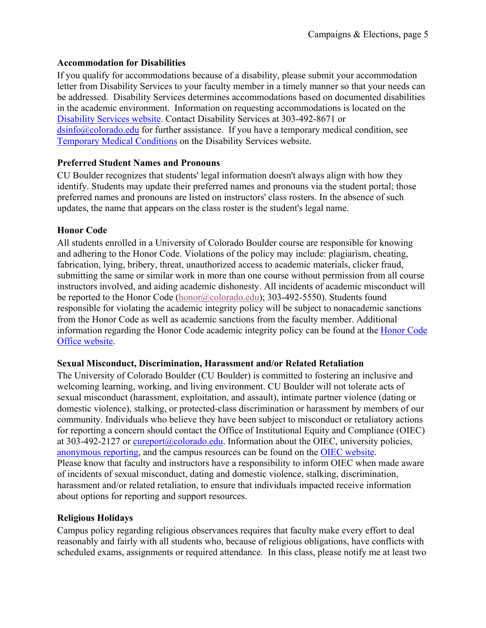# **Accommodation for Disabilities**

If you qualify for accommodations because of a disability, please submit your accommodation letter from Disability Services to your faculty member in a timely manner so that your needs can be addressed. Disability Services determines accommodations based on documented disabilities in the academic environment. Information on requesting accommodations is located on the Disability Services website. Contact Disability Services at 303-492-8671 or  $\sin 6$  ( $\alpha$ ) colorado.edu for further assistance. If you have a temporary medical condition, see Temporary Medical Conditions on the Disability Services website.

## **Preferred Student Names and Pronouns**

CU Boulder recognizes that students' legal information doesn't always align with how they identify. Students may update their preferred names and pronouns via the student portal; those preferred names and pronouns are listed on instructors' class rosters. In the absence of such updates, the name that appears on the class roster is the student's legal name.

## **Honor Code**

All students enrolled in a University of Colorado Boulder course are responsible for knowing and adhering to the Honor Code. Violations of the policy may include: plagiarism, cheating, fabrication, lying, bribery, threat, unauthorized access to academic materials, clicker fraud, submitting the same or similar work in more than one course without permission from all course instructors involved, and aiding academic dishonesty. All incidents of academic misconduct will be reported to the Honor Code (honor@colorado.edu); 303-492-5550). Students found responsible for violating the academic integrity policy will be subject to nonacademic sanctions from the Honor Code as well as academic sanctions from the faculty member. Additional information regarding the Honor Code academic integrity policy can be found at the Honor Code Office website.

### **Sexual Misconduct, Discrimination, Harassment and/or Related Retaliation**

The University of Colorado Boulder (CU Boulder) is committed to fostering an inclusive and welcoming learning, working, and living environment. CU Boulder will not tolerate acts of sexual misconduct (harassment, exploitation, and assault), intimate partner violence (dating or domestic violence), stalking, or protected-class discrimination or harassment by members of our community. Individuals who believe they have been subject to misconduct or retaliatory actions for reporting a concern should contact the Office of Institutional Equity and Compliance (OIEC) at 303-492-2127 or cureport@colorado.edu. Information about the OIEC, university policies, anonymous reporting, and the campus resources can be found on the OIEC website. Please know that faculty and instructors have a responsibility to inform OIEC when made aware of incidents of sexual misconduct, dating and domestic violence, stalking, discrimination, harassment and/or related retaliation, to ensure that individuals impacted receive information about options for reporting and support resources.

# **Religious Holidays**

Campus policy regarding religious observances requires that faculty make every effort to deal reasonably and fairly with all students who, because of religious obligations, have conflicts with scheduled exams, assignments or required attendance. In this class, please notify me at least two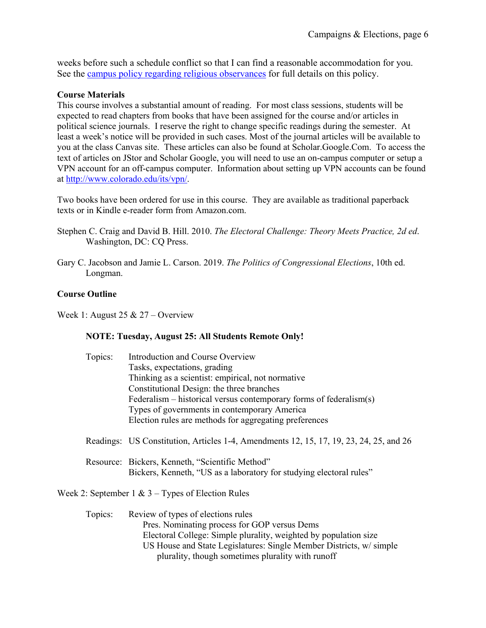weeks before such a schedule conflict so that I can find a reasonable accommodation for you. See the campus policy regarding religious observances for full details on this policy.

#### **Course Materials**

This course involves a substantial amount of reading. For most class sessions, students will be expected to read chapters from books that have been assigned for the course and/or articles in political science journals. I reserve the right to change specific readings during the semester. At least a week's notice will be provided in such cases. Most of the journal articles will be available to you at the class Canvas site. These articles can also be found at Scholar.Google.Com. To access the text of articles on JStor and Scholar Google, you will need to use an on-campus computer or setup a VPN account for an off-campus computer. Information about setting up VPN accounts can be found at http://www.colorado.edu/its/vpn/.

Two books have been ordered for use in this course. They are available as traditional paperback texts or in Kindle e-reader form from Amazon.com.

- Stephen C. Craig and David B. Hill. 2010. *The Electoral Challenge: Theory Meets Practice, 2d ed*. Washington, DC: CQ Press.
- Gary C. Jacobson and Jamie L. Carson. 2019. *The Politics of Congressional Elections*, 10th ed. Longman.

### **Course Outline**

Week 1: August 25 & 27 – Overview

### **NOTE: Tuesday, August 25: All Students Remote Only!**

| Topics: | Introduction and Course Overview                                                       |
|---------|----------------------------------------------------------------------------------------|
|         | Tasks, expectations, grading                                                           |
|         | Thinking as a scientist: empirical, not normative                                      |
|         | Constitutional Design: the three branches                                              |
|         | Federalism – historical versus contemporary forms of federalism $(s)$                  |
|         | Types of governments in contemporary America                                           |
|         | Election rules are methods for aggregating preferences                                 |
|         | Readings: US Constitution, Articles 1-4, Amendments 12, 15, 17, 19, 23, 24, 25, and 26 |

 Resource: Bickers, Kenneth, "Scientific Method" Bickers, Kenneth, "US as a laboratory for studying electoral rules"

Week 2: September 1 &  $3 - Types$  of Election Rules

 Topics: Review of types of elections rules Pres. Nominating process for GOP versus Dems Electoral College: Simple plurality, weighted by population size US House and State Legislatures: Single Member Districts, w/ simple plurality, though sometimes plurality with runoff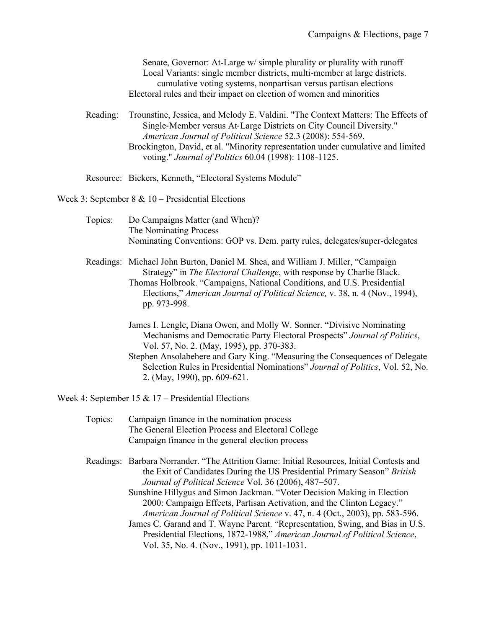| Senate, Governor: At-Large w/ simple plurality or plurality with runoff   |
|---------------------------------------------------------------------------|
| Local Variants: single member districts, multi-member at large districts. |
| cumulative voting systems, nonpartisan versus partisan elections          |
| Electoral rules and their impact on election of women and minorities      |

 Reading: Trounstine, Jessica, and Melody E. Valdini. "The Context Matters: The Effects of Single-Member versus At-Large Districts on City Council Diversity." *American Journal of Political Science* 52.3 (2008): 554-569. Brockington, David, et al. "Minority representation under cumulative and limited voting." *Journal of Politics* 60.04 (1998): 1108-1125.

Resource: Bickers, Kenneth, "Electoral Systems Module"

Week 3: September  $8 \& 10$  – Presidential Elections

- Topics: Do Campaigns Matter (and When)? The Nominating Process Nominating Conventions: GOP vs. Dem. party rules, delegates/super-delegates
- Readings: Michael John Burton, Daniel M. Shea, and William J. Miller, "Campaign Strategy" in *The Electoral Challenge*, with response by Charlie Black. Thomas Holbrook. "Campaigns, National Conditions, and U.S. Presidential Elections," *American Journal of Political Science,* v. 38, n. 4 (Nov., 1994), pp. 973-998.
	- James I. Lengle, Diana Owen, and Molly W. Sonner. "Divisive Nominating Mechanisms and Democratic Party Electoral Prospects" *Journal of Politics*, Vol. 57, No. 2. (May, 1995), pp. 370-383.
	- Stephen Ansolabehere and Gary King. "Measuring the Consequences of Delegate Selection Rules in Presidential Nominations" *Journal of Politics*, Vol. 52, No. 2. (May, 1990), pp. 609-621.

Week 4: September 15 & 17 – Presidential Elections

- Topics: Campaign finance in the nomination process The General Election Process and Electoral College Campaign finance in the general election process
- Readings: Barbara Norrander. "The Attrition Game: Initial Resources, Initial Contests and the Exit of Candidates During the US Presidential Primary Season" *British Journal of Political Science* Vol. 36 (2006), 487–507. Sunshine Hillygus and Simon Jackman. "Voter Decision Making in Election 2000: Campaign Effects, Partisan Activation, and the Clinton Legacy." *American Journal of Political Science* v. 47, n. 4 (Oct., 2003), pp. 583-596. James C. Garand and T. Wayne Parent. "Representation, Swing, and Bias in U.S. Presidential Elections, 1872-1988," *American Journal of Political Science*, Vol. 35, No. 4. (Nov., 1991), pp. 1011-1031.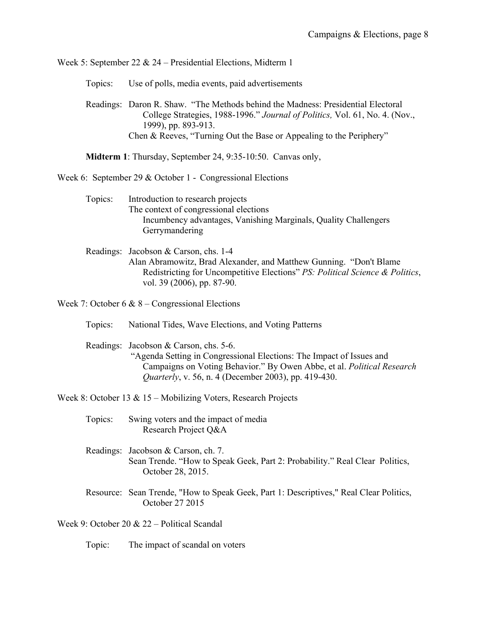Week 5: September 22 & 24 – Presidential Elections, Midterm 1

- Topics: Use of polls, media events, paid advertisements
- Readings: Daron R. Shaw. "The Methods behind the Madness: Presidential Electoral College Strategies, 1988-1996." *Journal of Politics,* Vol. 61, No. 4. (Nov., 1999), pp. 893-913. Chen & Reeves, "Turning Out the Base or Appealing to the Periphery"

 **Midterm 1**: Thursday, September 24, 9:35-10:50. Canvas only,

Week 6: September 29 & October 1 - Congressional Elections

- Topics: Introduction to research projects The context of congressional elections Incumbency advantages, Vanishing Marginals, Quality Challengers Gerrymandering
- Readings: Jacobson & Carson, chs. 1-4 Alan Abramowitz, Brad Alexander, and Matthew Gunning. "Don't Blame Redistricting for Uncompetitive Elections" *PS: Political Science & Politics*, vol. 39 (2006), pp. 87-90.

Week 7: October 6 &  $8 -$ Congressional Elections

Topics: National Tides, Wave Elections, and Voting Patterns

Readings: Jacobson & Carson, chs. 5-6.

 "Agenda Setting in Congressional Elections: The Impact of Issues and Campaigns on Voting Behavior." By Owen Abbe, et al. *Political Research Quarterly*, v. 56, n. 4 (December 2003), pp. 419-430.

Week 8: October 13 & 15 – Mobilizing Voters, Research Projects

- Topics: Swing voters and the impact of media Research Project Q&A
- Readings: Jacobson & Carson, ch. 7. Sean Trende. "How to Speak Geek, Part 2: Probability." Real Clear Politics, October 28, 2015.
- Resource: Sean Trende, "How to Speak Geek, Part 1: Descriptives," Real Clear Politics, October 27 2015

Week 9: October 20 & 22 – Political Scandal

Topic: The impact of scandal on voters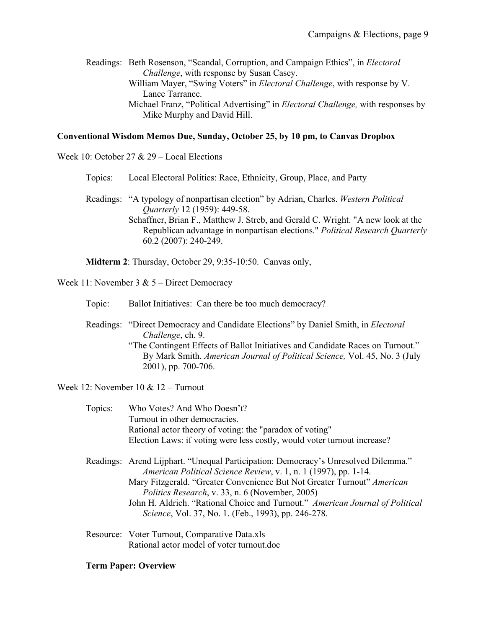Readings: Beth Rosenson, "Scandal, Corruption, and Campaign Ethics", in *Electoral Challenge*, with response by Susan Casey. William Mayer, "Swing Voters" in *Electoral Challenge*, with response by V. Lance Tarrance. Michael Franz, "Political Advertising" in *Electoral Challenge,* with responses by Mike Murphy and David Hill.

#### **Conventional Wisdom Memos Due, Sunday, October 25, by 10 pm, to Canvas Dropbox**

Week 10: October 27 & 29 – Local Elections

Topics: Local Electoral Politics: Race, Ethnicity, Group, Place, and Party

- Readings: "A typology of nonpartisan election" by Adrian, Charles. *Western Political Quarterly* 12 (1959): 449-58.
	- Schaffner, Brian F., Matthew J. Streb, and Gerald C. Wright. "A new look at the Republican advantage in nonpartisan elections." *Political Research Quarterly* 60.2 (2007): 240-249.

 **Midterm 2**: Thursday, October 29, 9:35-10:50. Canvas only,

Week 11: November 3 &  $5 -$  Direct Democracy

Topic: Ballot Initiatives: Can there be too much democracy?

 Readings: "Direct Democracy and Candidate Elections" by Daniel Smith, in *Electoral Challenge*, ch. 9. "The Contingent Effects of Ballot Initiatives and Candidate Races on Turnout." By Mark Smith. *American Journal of Political Science,* Vol. 45, No. 3 (July 2001), pp. 700-706.

Week 12: November 10 & 12 – Turnout

| Topics: | Who Votes? And Who Doesn't?                                                        |
|---------|------------------------------------------------------------------------------------|
|         | Turnout in other democracies.                                                      |
|         | Rational actor theory of voting: the "paradox of voting"                           |
|         | Election Laws: if voting were less costly, would voter turnout increase?           |
|         | Readings: Arend Lijphart. "Unequal Participation: Democracy's Unresolved Dilemma." |
|         | American Political Science Review, v. 1, n. 1 (1997), pp. 1-14.                    |
|         | Mary Fitzgerald. "Greater Convenience But Not Greater Turnout" American            |
|         | <i>Politics Research, v. 33, n. 6 (November, 2005)</i>                             |
|         | John H. Aldrich. "Rational Choice and Turnout." American Journal of Political      |
|         | Science, Vol. 37, No. 1. (Feb., 1993), pp. 246-278.                                |
|         |                                                                                    |

 Resource: Voter Turnout, Comparative Data.xls Rational actor model of voter turnout.doc

#### **Term Paper: Overview**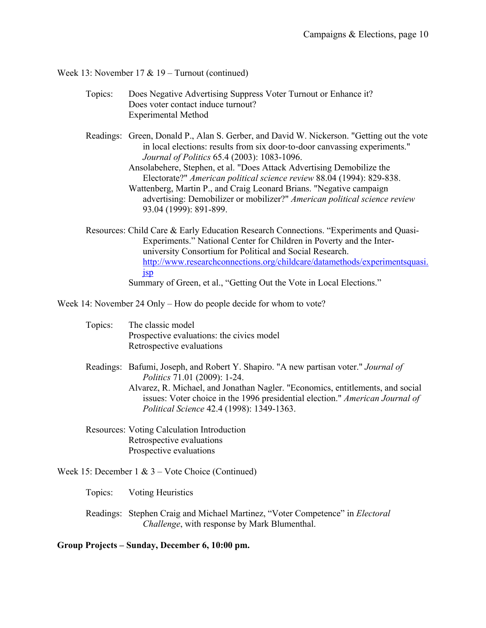Week 13: November 17 & 19 – Turnout (continued)

- Topics: Does Negative Advertising Suppress Voter Turnout or Enhance it? Does voter contact induce turnout? Experimental Method
- Readings: Green, Donald P., Alan S. Gerber, and David W. Nickerson. "Getting out the vote in local elections: results from six door-to-door canvassing experiments." *Journal of Politics* 65.4 (2003): 1083-1096.

 Ansolabehere, Stephen, et al. "Does Attack Advertising Demobilize the Electorate?" *American political science review* 88.04 (1994): 829-838.

 Wattenberg, Martin P., and Craig Leonard Brians. "Negative campaign advertising: Demobilizer or mobilizer?" *American political science review* 93.04 (1999): 891-899.

Resources: Child Care & Early Education Research Connections. "Experiments and Quasi-Experiments." National Center for Children in Poverty and the Interuniversity Consortium for Political and Social Research. http://www.researchconnections.org/childcare/datamethods/experimentsquasi. jsp Summary of Green, et al., "Getting Out the Vote in Local Elections."

Week 14: November 24 Only – How do people decide for whom to vote?

 Topics: The classic model Prospective evaluations: the civics model Retrospective evaluations

Readings: Bafumi, Joseph, and Robert Y. Shapiro. "A new partisan voter." *Journal of Politics* 71.01 (2009): 1-24. Alvarez, R. Michael, and Jonathan Nagler. "Economics, entitlements, and social issues: Voter choice in the 1996 presidential election." *American Journal of* 

*Political Science* 42.4 (1998): 1349-1363. Resources: Voting Calculation Introduction

 Retrospective evaluations Prospective evaluations

Week 15: December 1 & 3 – Vote Choice (Continued)

Topics: Voting Heuristics

Readings: Stephen Craig and Michael Martinez, "Voter Competence" in *Electoral Challenge*, with response by Mark Blumenthal.

**Group Projects – Sunday, December 6, 10:00 pm.**